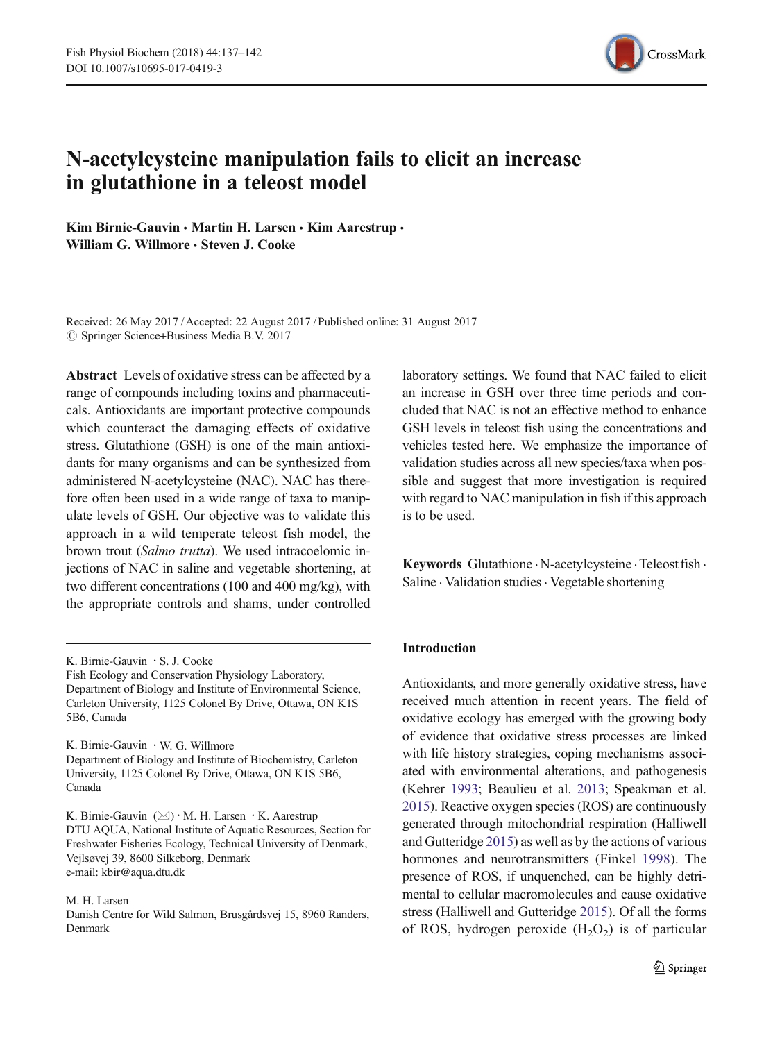

# N-acetylcysteine manipulation fails to elicit an increase in glutathione in a teleost model

Kim Birnie-Gauvin · Martin H. Larsen · Kim Aarestrup · William G. Willmore · Steven J. Cooke

Received: 26 May 2017 /Accepted: 22 August 2017 /Published online: 31 August 2017  $\oslash$  Springer Science+Business Media B.V. 2017

Abstract Levels of oxidative stress can be affected by a range of compounds including toxins and pharmaceuticals. Antioxidants are important protective compounds which counteract the damaging effects of oxidative stress. Glutathione (GSH) is one of the main antioxidants for many organisms and can be synthesized from administered N-acetylcysteine (NAC). NAC has therefore often been used in a wide range of taxa to manipulate levels of GSH. Our objective was to validate this approach in a wild temperate teleost fish model, the brown trout (Salmo trutta). We used intracoelomic injections of NAC in saline and vegetable shortening, at two different concentrations (100 and 400 mg/kg), with the appropriate controls and shams, under controlled

K. Birnie-Gauvin : W. G. Willmore Department of Biology and Institute of Biochemistry, Carleton University, 1125 Colonel By Drive, Ottawa, ON K1S 5B6, Canada

K. Birnie-Gauvin  $(\boxtimes) \cdot M$ . H. Larsen  $\cdot$  K. Aarestrup DTU AQUA, National Institute of Aquatic Resources, Section for Freshwater Fisheries Ecology, Technical University of Denmark, Vejlsøvej 39, 8600 Silkeborg, Denmark e-mail: kbir@aqua.dtu.dk

M. H. Larsen

Danish Centre for Wild Salmon, Brusgårdsvej 15, 8960 Randers, Denmark

laboratory settings. We found that NAC failed to elicit an increase in GSH over three time periods and concluded that NAC is not an effective method to enhance GSH levels in teleost fish using the concentrations and vehicles tested here. We emphasize the importance of validation studies across all new species/taxa when possible and suggest that more investigation is required with regard to NAC manipulation in fish if this approach is to be used.

Keywords Glutathione · N-acetylcysteine · Teleost fish · Saline · Validation studies · Vegetable shortening

## Introduction

Antioxidants, and more generally oxidative stress, have received much attention in recent years. The field of oxidative ecology has emerged with the growing body of evidence that oxidative stress processes are linked with life history strategies, coping mechanisms associated with environmental alterations, and pathogenesis (Kehrer [1993;](#page-4-0) Beaulieu et al. [2013](#page-4-0); Speakman et al. [2015](#page-4-0)). Reactive oxygen species (ROS) are continuously generated through mitochondrial respiration (Halliwell and Gutteridge [2015\)](#page-4-0) as well as by the actions of various hormones and neurotransmitters (Finkel [1998\)](#page-4-0). The presence of ROS, if unquenched, can be highly detrimental to cellular macromolecules and cause oxidative stress (Halliwell and Gutteridge [2015](#page-4-0)). Of all the forms of ROS, hydrogen peroxide  $(H_2O_2)$  is of particular

K. Birnie-Gauvin : S. J. Cooke

Fish Ecology and Conservation Physiology Laboratory, Department of Biology and Institute of Environmental Science, Carleton University, 1125 Colonel By Drive, Ottawa, ON K1S 5B6, Canada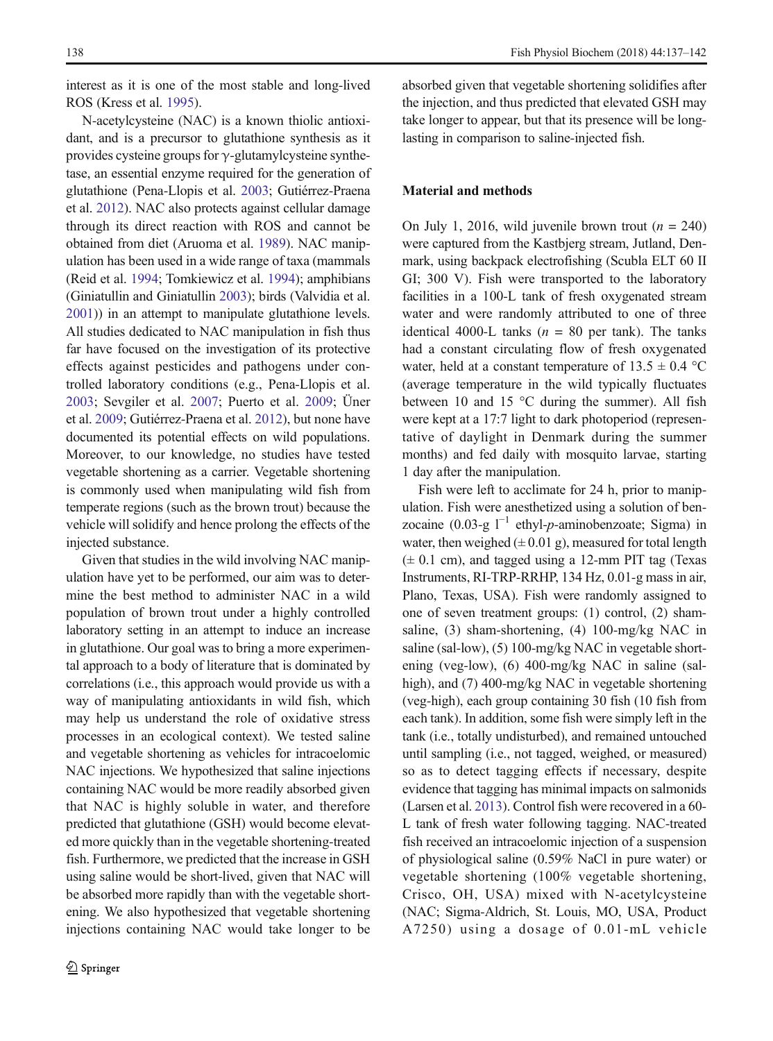interest as it is one of the most stable and long-lived ROS (Kress et al. [1995](#page-4-0)).

N-acetylcysteine (NAC) is a known thiolic antioxidant, and is a precursor to glutathione synthesis as it provides cysteine groups for  $\gamma$ -glutamylcysteine synthetase, an essential enzyme required for the generation of glutathione (Pena-Llopis et al. [2003](#page-4-0); Gutiérrez-Praena et al. [2012\)](#page-4-0). NAC also protects against cellular damage through its direct reaction with ROS and cannot be obtained from diet (Aruoma et al. [1989](#page-4-0)). NAC manipulation has been used in a wide range of taxa (mammals (Reid et al. [1994](#page-4-0); Tomkiewicz et al. [1994](#page-4-0)); amphibians (Giniatullin and Giniatullin [2003\)](#page-4-0); birds (Valvidia et al. [2001](#page-5-0))) in an attempt to manipulate glutathione levels. All studies dedicated to NAC manipulation in fish thus far have focused on the investigation of its protective effects against pesticides and pathogens under controlled laboratory conditions (e.g., Pena-Llopis et al. [2003;](#page-4-0) Sevgiler et al. [2007;](#page-4-0) Puerto et al. [2009;](#page-4-0) Üner et al. [2009;](#page-5-0) Gutiérrez-Praena et al. [2012](#page-4-0)), but none have documented its potential effects on wild populations. Moreover, to our knowledge, no studies have tested vegetable shortening as a carrier. Vegetable shortening is commonly used when manipulating wild fish from temperate regions (such as the brown trout) because the vehicle will solidify and hence prolong the effects of the injected substance.

Given that studies in the wild involving NAC manipulation have yet to be performed, our aim was to determine the best method to administer NAC in a wild population of brown trout under a highly controlled laboratory setting in an attempt to induce an increase in glutathione. Our goal was to bring a more experimental approach to a body of literature that is dominated by correlations (i.e., this approach would provide us with a way of manipulating antioxidants in wild fish, which may help us understand the role of oxidative stress processes in an ecological context). We tested saline and vegetable shortening as vehicles for intracoelomic NAC injections. We hypothesized that saline injections containing NAC would be more readily absorbed given that NAC is highly soluble in water, and therefore predicted that glutathione (GSH) would become elevated more quickly than in the vegetable shortening-treated fish. Furthermore, we predicted that the increase in GSH using saline would be short-lived, given that NAC will be absorbed more rapidly than with the vegetable shortening. We also hypothesized that vegetable shortening injections containing NAC would take longer to be absorbed given that vegetable shortening solidifies after the injection, and thus predicted that elevated GSH may take longer to appear, but that its presence will be longlasting in comparison to saline-injected fish.

#### Material and methods

On July 1, 2016, wild juvenile brown trout  $(n = 240)$ were captured from the Kastbjerg stream, Jutland, Denmark, using backpack electrofishing (Scubla ELT 60 II GI; 300 V). Fish were transported to the laboratory facilities in a 100-L tank of fresh oxygenated stream water and were randomly attributed to one of three identical 4000-L tanks ( $n = 80$  per tank). The tanks had a constant circulating flow of fresh oxygenated water, held at a constant temperature of  $13.5 \pm 0.4$  °C (average temperature in the wild typically fluctuates between 10 and 15 °C during the summer). All fish were kept at a 17:7 light to dark photoperiod (representative of daylight in Denmark during the summer months) and fed daily with mosquito larvae, starting 1 day after the manipulation.

Fish were left to acclimate for 24 h, prior to manipulation. Fish were anesthetized using a solution of benzocaine (0.03-g  $l^{-1}$  ethyl-*p*-aminobenzoate; Sigma) in water, then weighed  $(\pm 0.01 \text{ g})$ , measured for total length (± 0.1 cm), and tagged using a 12-mm PIT tag (Texas Instruments, RI-TRP-RRHP, 134 Hz, 0.01-g mass in air, Plano, Texas, USA). Fish were randomly assigned to one of seven treatment groups: (1) control, (2) shamsaline, (3) sham-shortening, (4) 100-mg/kg NAC in saline (sal-low), (5) 100-mg/kg NAC in vegetable shortening (veg-low), (6) 400-mg/kg NAC in saline (salhigh), and (7) 400-mg/kg NAC in vegetable shortening (veg-high), each group containing 30 fish (10 fish from each tank). In addition, some fish were simply left in the tank (i.e., totally undisturbed), and remained untouched until sampling (i.e., not tagged, weighed, or measured) so as to detect tagging effects if necessary, despite evidence that tagging has minimal impacts on salmonids (Larsen et al. [2013\)](#page-4-0). Control fish were recovered in a 60- L tank of fresh water following tagging. NAC-treated fish received an intracoelomic injection of a suspension of physiological saline (0.59% NaCl in pure water) or vegetable shortening (100% vegetable shortening, Crisco, OH, USA) mixed with N-acetylcysteine (NAC; Sigma-Aldrich, St. Louis, MO, USA, Product A7250) using a dosage of 0.01-mL vehicle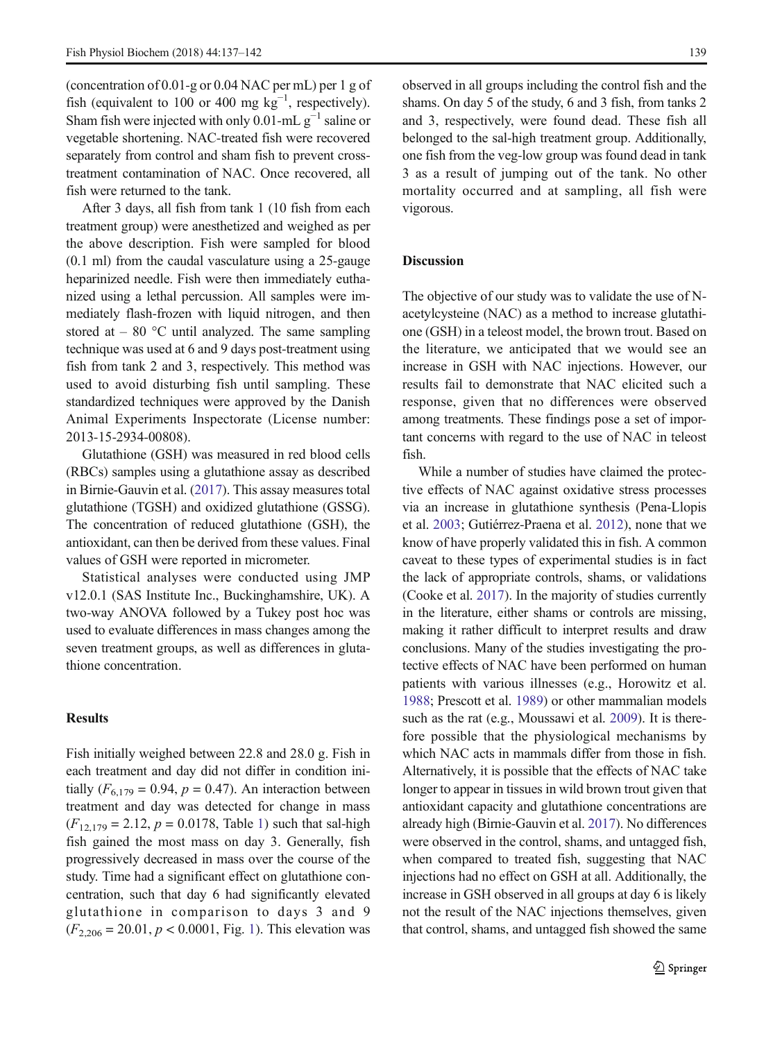(concentration of 0.01-g or 0.04 NAC per mL) per 1 g of fish (equivalent to 100 or 400 mg  $kg^{-1}$ , respectively). Sham fish were injected with only 0.01-mL  $g^{-1}$  saline or vegetable shortening. NAC-treated fish were recovered separately from control and sham fish to prevent crosstreatment contamination of NAC. Once recovered, all fish were returned to the tank.

After 3 days, all fish from tank 1 (10 fish from each treatment group) were anesthetized and weighed as per the above description. Fish were sampled for blood (0.1 ml) from the caudal vasculature using a 25-gauge heparinized needle. Fish were then immediately euthanized using a lethal percussion. All samples were immediately flash-frozen with liquid nitrogen, and then stored at  $-80$  °C until analyzed. The same sampling technique was used at 6 and 9 days post-treatment using fish from tank 2 and 3, respectively. This method was used to avoid disturbing fish until sampling. These standardized techniques were approved by the Danish Animal Experiments Inspectorate (License number: 2013-15-2934-00808).

Glutathione (GSH) was measured in red blood cells (RBCs) samples using a glutathione assay as described in Birnie-Gauvin et al. ([2017](#page-4-0)). This assay measures total glutathione (TGSH) and oxidized glutathione (GSSG). The concentration of reduced glutathione (GSH), the antioxidant, can then be derived from these values. Final values of GSH were reported in micrometer.

Statistical analyses were conducted using JMP v12.0.1 (SAS Institute Inc., Buckinghamshire, UK). A two-way ANOVA followed by a Tukey post hoc was used to evaluate differences in mass changes among the seven treatment groups, as well as differences in glutathione concentration.

### Results

Fish initially weighed between 22.8 and 28.0 g. Fish in each treatment and day did not differ in condition initially ( $F_{6,179} = 0.94$ ,  $p = 0.47$ ). An interaction between treatment and day was detected for change in mass  $(F_{12,179} = 2.12, p = 0.0178,$  $(F_{12,179} = 2.12, p = 0.0178,$  $(F_{12,179} = 2.12, p = 0.0178,$  Table 1) such that sal-high fish gained the most mass on day 3. Generally, fish progressively decreased in mass over the course of the study. Time had a significant effect on glutathione concentration, such that day 6 had significantly elevated glutathione in comparison to days 3 and 9  $(F_{2,206} = 20.01, p < 0.0001, Fig. 1)$  $(F_{2,206} = 20.01, p < 0.0001, Fig. 1)$ . This elevation was observed in all groups including the control fish and the shams. On day 5 of the study, 6 and 3 fish, from tanks 2 and 3, respectively, were found dead. These fish all belonged to the sal-high treatment group. Additionally, one fish from the veg-low group was found dead in tank 3 as a result of jumping out of the tank. No other mortality occurred and at sampling, all fish were vigorous.

### **Discussion**

The objective of our study was to validate the use of Nacetylcysteine (NAC) as a method to increase glutathione (GSH) in a teleost model, the brown trout. Based on the literature, we anticipated that we would see an increase in GSH with NAC injections. However, our results fail to demonstrate that NAC elicited such a response, given that no differences were observed among treatments. These findings pose a set of important concerns with regard to the use of NAC in teleost fish.

While a number of studies have claimed the protective effects of NAC against oxidative stress processes via an increase in glutathione synthesis (Pena-Llopis et al. [2003](#page-4-0); Gutiérrez-Praena et al. [2012\)](#page-4-0), none that we know of have properly validated this in fish. A common caveat to these types of experimental studies is in fact the lack of appropriate controls, shams, or validations (Cooke et al. [2017](#page-4-0)). In the majority of studies currently in the literature, either shams or controls are missing, making it rather difficult to interpret results and draw conclusions. Many of the studies investigating the protective effects of NAC have been performed on human patients with various illnesses (e.g., Horowitz et al. [1988](#page-4-0); Prescott et al. [1989\)](#page-4-0) or other mammalian models such as the rat (e.g., Moussawi et al. [2009](#page-4-0)). It is therefore possible that the physiological mechanisms by which NAC acts in mammals differ from those in fish. Alternatively, it is possible that the effects of NAC take longer to appear in tissues in wild brown trout given that antioxidant capacity and glutathione concentrations are already high (Birnie-Gauvin et al. [2017\)](#page-4-0). No differences were observed in the control, shams, and untagged fish, when compared to treated fish, suggesting that NAC injections had no effect on GSH at all. Additionally, the increase in GSH observed in all groups at day 6 is likely not the result of the NAC injections themselves, given that control, shams, and untagged fish showed the same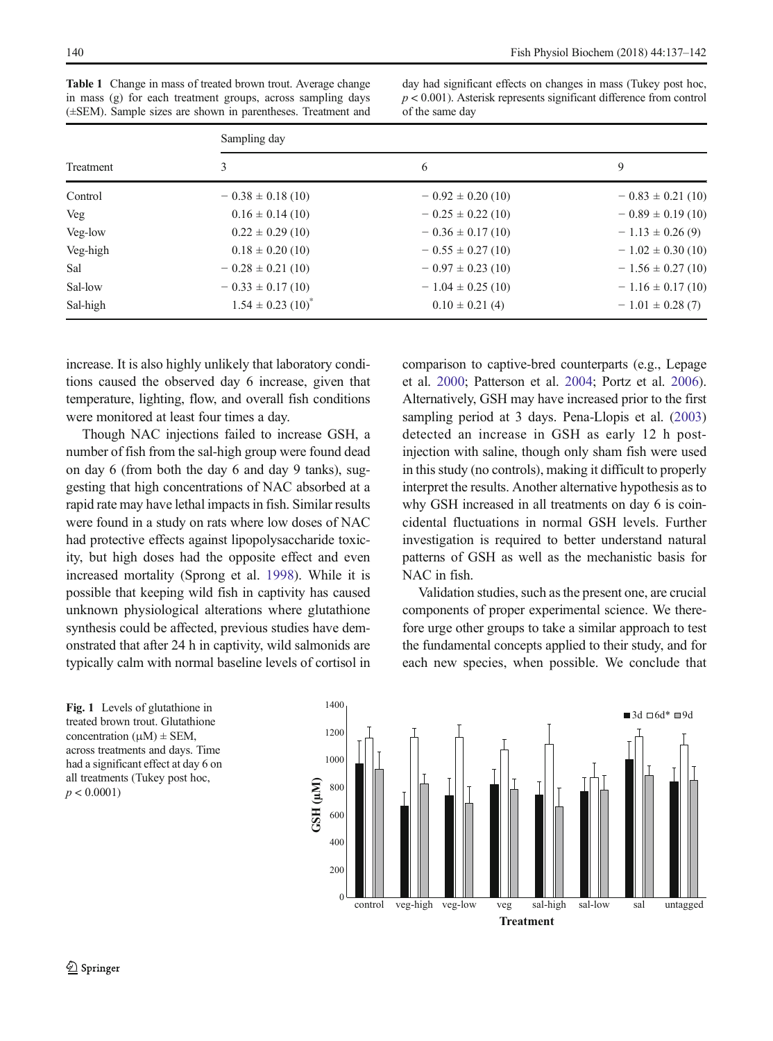<span id="page-3-0"></span>Table 1 Change in mass of treated brown trout. Average change in mass (g) for each treatment groups, across sampling days (±SEM). Sample sizes are shown in parentheses. Treatment and

day had significant effects on changes in mass (Tukey post hoc,  $p < 0.001$ ). Asterisk represents significant difference from control of the same day

| Treatment | Sampling day                      |                       |                       |
|-----------|-----------------------------------|-----------------------|-----------------------|
|           | 3                                 | 6                     | 9                     |
| Control   | $-0.38 \pm 0.18$ (10)             | $-0.92 \pm 0.20$ (10) | $-0.83 \pm 0.21$ (10) |
| Veg       | $0.16 \pm 0.14(10)$               | $-0.25 \pm 0.22$ (10) | $-0.89 \pm 0.19(10)$  |
| Veg-low   | $0.22 \pm 0.29$ (10)              | $-0.36 \pm 0.17(10)$  | $-1.13 \pm 0.26$ (9)  |
| Veg-high  | $0.18 \pm 0.20$ (10)              | $-0.55 \pm 0.27(10)$  | $-1.02 \pm 0.30$ (10) |
| Sal       | $-0.28 \pm 0.21$ (10)             | $-0.97 \pm 0.23$ (10) | $-1.56 \pm 0.27(10)$  |
| Sal-low   | $-0.33 \pm 0.17(10)$              | $-1.04 \pm 0.25$ (10) | $-1.16 \pm 0.17(10)$  |
| Sal-high  | $1.54 \pm 0.23$ (10) <sup>*</sup> | $0.10 \pm 0.21$ (4)   | $-1.01 \pm 0.28(7)$   |

increase. It is also highly unlikely that laboratory conditions caused the observed day 6 increase, given that temperature, lighting, flow, and overall fish conditions were monitored at least four times a day.

Though NAC injections failed to increase GSH, a number of fish from the sal-high group were found dead on day 6 (from both the day 6 and day 9 tanks), suggesting that high concentrations of NAC absorbed at a rapid rate may have lethal impacts in fish. Similar results were found in a study on rats where low doses of NAC had protective effects against lipopolysaccharide toxicity, but high doses had the opposite effect and even increased mortality (Sprong et al. [1998](#page-4-0)). While it is possible that keeping wild fish in captivity has caused unknown physiological alterations where glutathione synthesis could be affected, previous studies have demonstrated that after 24 h in captivity, wild salmonids are typically calm with normal baseline levels of cortisol in

treated brown trout. Glutathione concentration  $(\mu M) \pm$  SEM, across treatments and days. Time had a significant effect at day 6 on all treatments (Tukey post hoc,  $p < 0.0001$ )

comparison to captive-bred counterparts (e.g., Lepage et al. [2000;](#page-4-0) Patterson et al. [2004;](#page-4-0) Portz et al. [2006\)](#page-4-0). Alternatively, GSH may have increased prior to the first sampling period at 3 days. Pena-Llopis et al. [\(2003](#page-4-0)) detected an increase in GSH as early 12 h postinjection with saline, though only sham fish were used in this study (no controls), making it difficult to properly interpret the results. Another alternative hypothesis as to why GSH increased in all treatments on day 6 is coincidental fluctuations in normal GSH levels. Further investigation is required to better understand natural patterns of GSH as well as the mechanistic basis for NAC in fish.

Validation studies, such as the present one, are crucial components of proper experimental science. We therefore urge other groups to take a similar approach to test the fundamental concepts applied to their study, and for each new species, when possible. We conclude that

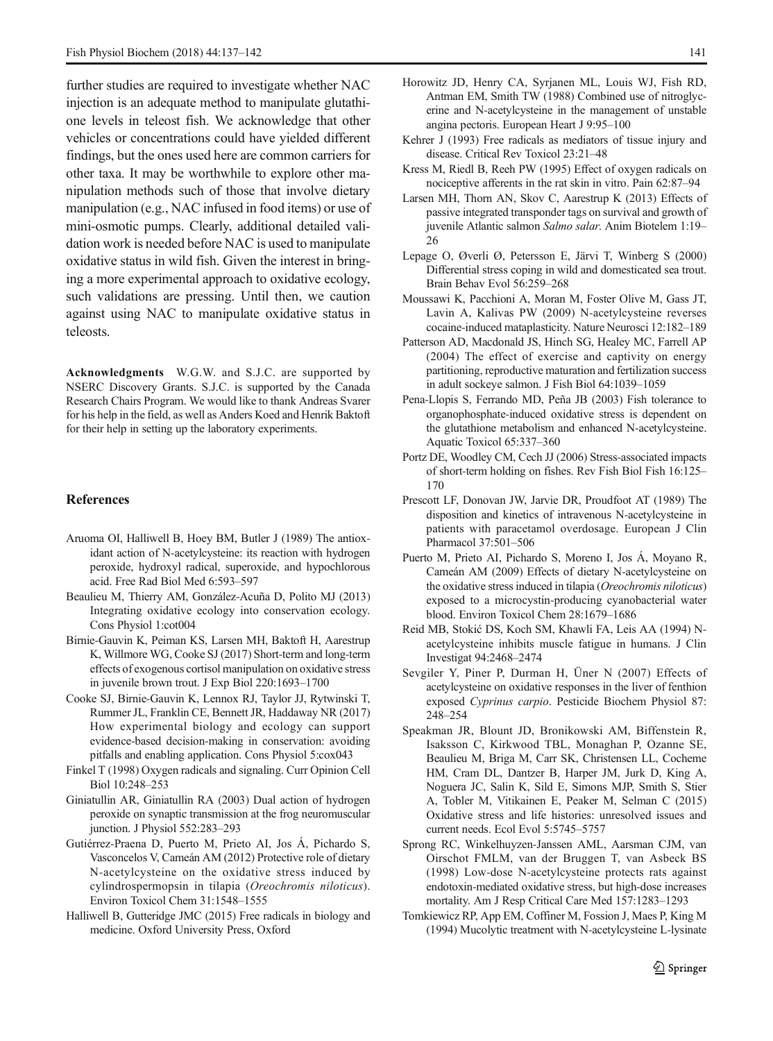<span id="page-4-0"></span>further studies are required to investigate whether NAC injection is an adequate method to manipulate glutathione levels in teleost fish. We acknowledge that other vehicles or concentrations could have yielded different findings, but the ones used here are common carriers for other taxa. It may be worthwhile to explore other manipulation methods such of those that involve dietary manipulation (e.g., NAC infused in food items) or use of mini-osmotic pumps. Clearly, additional detailed validation work is needed before NAC is used to manipulate oxidative status in wild fish. Given the interest in bringing a more experimental approach to oxidative ecology, such validations are pressing. Until then, we caution against using NAC to manipulate oxidative status in teleosts.

Acknowledgments W.G.W. and S.J.C. are supported by NSERC Discovery Grants. S.J.C. is supported by the Canada Research Chairs Program. We would like to thank Andreas Svarer for his help in the field, as well as Anders Koed and Henrik Baktoft for their help in setting up the laboratory experiments.

#### References

- Aruoma OI, Halliwell B, Hoey BM, Butler J (1989) The antioxidant action of N-acetylcysteine: its reaction with hydrogen peroxide, hydroxyl radical, superoxide, and hypochlorous acid. Free Rad Biol Med 6:593–597
- Beaulieu M, Thierry AM, González-Acuña D, Polito MJ (2013) Integrating oxidative ecology into conservation ecology. Cons Physiol 1:cot004
- Birnie-Gauvin K, Peiman KS, Larsen MH, Baktoft H, Aarestrup K, Willmore WG, Cooke SJ (2017) Short-term and long-term effects of exogenous cortisol manipulation on oxidative stress in juvenile brown trout. J Exp Biol 220:1693–1700
- Cooke SJ, Birnie-Gauvin K, Lennox RJ, Taylor JJ, Rytwinski T, Rummer JL, Franklin CE, Bennett JR, Haddaway NR (2017) How experimental biology and ecology can support evidence-based decision-making in conservation: avoiding pitfalls and enabling application. Cons Physiol 5:cox043
- Finkel T (1998) Oxygen radicals and signaling. Curr Opinion Cell Biol 10:248–253
- Giniatullin AR, Giniatullin RA (2003) Dual action of hydrogen peroxide on synaptic transmission at the frog neuromuscular junction. J Physiol 552:283–293
- Gutiérrez-Praena D, Puerto M, Prieto AI, Jos Á, Pichardo S, Vasconcelos V, Cameán AM (2012) Protective role of dietary N-acetylcysteine on the oxidative stress induced by cylindrospermopsin in tilapia (Oreochromis niloticus). Environ Toxicol Chem 31:1548–1555
- Halliwell B, Gutteridge JMC (2015) Free radicals in biology and medicine. Oxford University Press, Oxford
- Horowitz JD, Henry CA, Syrjanen ML, Louis WJ, Fish RD, Antman EM, Smith TW (1988) Combined use of nitroglycerine and N-acetylcysteine in the management of unstable angina pectoris. European Heart J 9:95–100
- Kehrer J (1993) Free radicals as mediators of tissue injury and disease. Critical Rev Toxicol 23:21–48
- Kress M, Riedl B, Reeh PW (1995) Effect of oxygen radicals on nociceptive afferents in the rat skin in vitro. Pain 62:87–94
- Larsen MH, Thorn AN, Skov C, Aarestrup K (2013) Effects of passive integrated transponder tags on survival and growth of juvenile Atlantic salmon Salmo salar. Anim Biotelem 1:19– 26
- Lepage O, Øverli Ø, Petersson E, Järvi T, Winberg S (2000) Differential stress coping in wild and domesticated sea trout. Brain Behav Evol 56:259–268
- Moussawi K, Pacchioni A, Moran M, Foster Olive M, Gass JT, Lavin A, Kalivas PW (2009) N-acetylcysteine reverses cocaine-induced mataplasticity. Nature Neurosci 12:182–189
- Patterson AD, Macdonald JS, Hinch SG, Healey MC, Farrell AP (2004) The effect of exercise and captivity on energy partitioning, reproductive maturation and fertilization success in adult sockeye salmon. J Fish Biol 64:1039–1059
- Pena-Llopis S, Ferrando MD, Peña JB (2003) Fish tolerance to organophosphate-induced oxidative stress is dependent on the glutathione metabolism and enhanced N-acetylcysteine. Aquatic Toxicol 65:337–360
- Portz DE, Woodley CM, Cech JJ (2006) Stress-associated impacts of short-term holding on fishes. Rev Fish Biol Fish 16:125– 170
- Prescott LF, Donovan JW, Jarvie DR, Proudfoot AT (1989) The disposition and kinetics of intravenous N-acetylcysteine in patients with paracetamol overdosage. European J Clin Pharmacol 37:501–506
- Puerto M, Prieto AI, Pichardo S, Moreno I, Jos Á, Moyano R, Cameán AM (2009) Effects of dietary N-acetylcysteine on the oxidative stress induced in tilapia (Oreochromis niloticus) exposed to a microcystin-producing cyanobacterial water blood. Environ Toxicol Chem 28:1679–1686
- Reid MB, Stokić DS, Koch SM, Khawli FA, Leis AA (1994) Nacetylcysteine inhibits muscle fatigue in humans. J Clin Investigat 94:2468–2474
- Sevgiler Y, Piner P, Durman H, Üner N (2007) Effects of acetylcysteine on oxidative responses in the liver of fenthion exposed Cyprinus carpio. Pesticide Biochem Physiol 87: 248–254
- Speakman JR, Blount JD, Bronikowski AM, Biffenstein R, Isaksson C, Kirkwood TBL, Monaghan P, Ozanne SE, Beaulieu M, Briga M, Carr SK, Christensen LL, Cocheme HM, Cram DL, Dantzer B, Harper JM, Jurk D, King A, Noguera JC, Salin K, Sild E, Simons MJP, Smith S, Stier A, Tobler M, Vitikainen E, Peaker M, Selman C (2015) Oxidative stress and life histories: unresolved issues and current needs. Ecol Evol 5:5745–5757
- Sprong RC, Winkelhuyzen-Janssen AML, Aarsman CJM, van Oirschot FMLM, van der Bruggen T, van Asbeck BS (1998) Low-dose N-acetylcysteine protects rats against endotoxin-mediated oxidative stress, but high-dose increases mortality. Am J Resp Critical Care Med 157:1283–1293
- Tomkiewicz RP, App EM, Coffiner M, Fossion J, Maes P, King M (1994) Mucolytic treatment with N-acetylcysteine L-lysinate